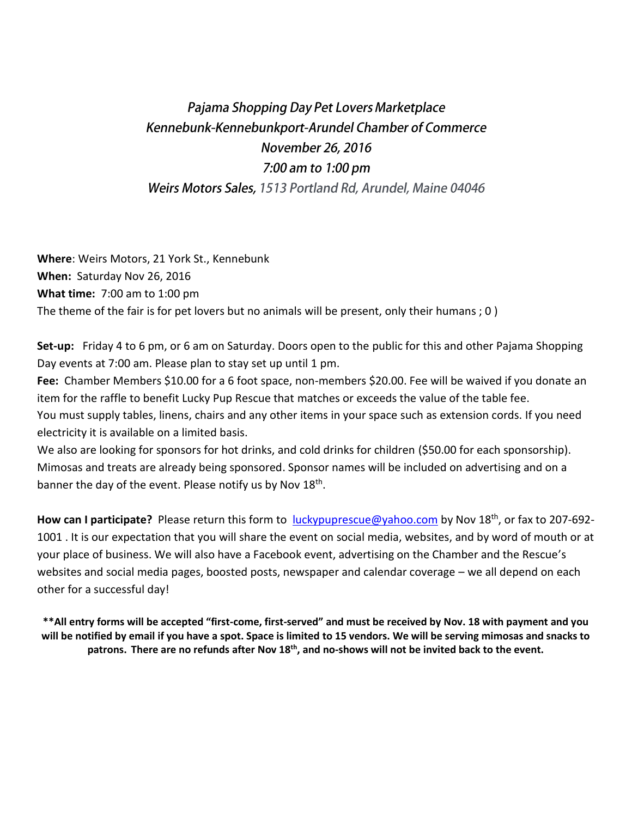## Pajama Shopping Day Pet Lovers Marketplace Kennebunk-Kennebunkport-Arundel Chamber of Commerce November 26, 2016 7:00 am to 1:00 pm Weirs Motors Sales, 1513 Portland Rd, Arundel, Maine 04046

**Where**: Weirs Motors, 21 York St., Kennebunk **When:** Saturday Nov 26, 2016 **What time:** 7:00 am to 1:00 pm The theme of the fair is for pet lovers but no animals will be present, only their humans ; 0 )

**Set-up:** Friday 4 to 6 pm, or 6 am on Saturday. Doors open to the public for this and other Pajama Shopping Day events at 7:00 am. Please plan to stay set up until 1 pm.

**Fee:** Chamber Members \$10.00 for a 6 foot space, non-members \$20.00. Fee will be waived if you donate an item for the raffle to benefit Lucky Pup Rescue that matches or exceeds the value of the table fee. You must supply tables, linens, chairs and any other items in your space such as extension cords. If you need electricity it is available on a limited basis.

We also are looking for sponsors for hot drinks, and cold drinks for children (\$50.00 for each sponsorship). Mimosas and treats are already being sponsored. Sponsor names will be included on advertising and on a banner the day of the event. Please notify us by Nov 18<sup>th</sup>.

**How can I participate?** Please return this form to [luckypuprescue@yahoo.com](mailto:luckypuprescue@yahoo.com) by Nov 18th, or fax to 207-692- 1001 . It is our expectation that you will share the event on social media, websites, and by word of mouth or at your place of business. We will also have a Facebook event, advertising on the Chamber and the Rescue's websites and social media pages, boosted posts, newspaper and calendar coverage – we all depend on each other for a successful day!

**\*\*All entry forms will be accepted "first-come, first-served" and must be received by Nov. 18 with payment and you will be notified by email if you have a spot. Space is limited to 15 vendors. We will be serving mimosas and snacks to patrons. There are no refunds after Nov 18th , and no-shows will not be invited back to the event.**